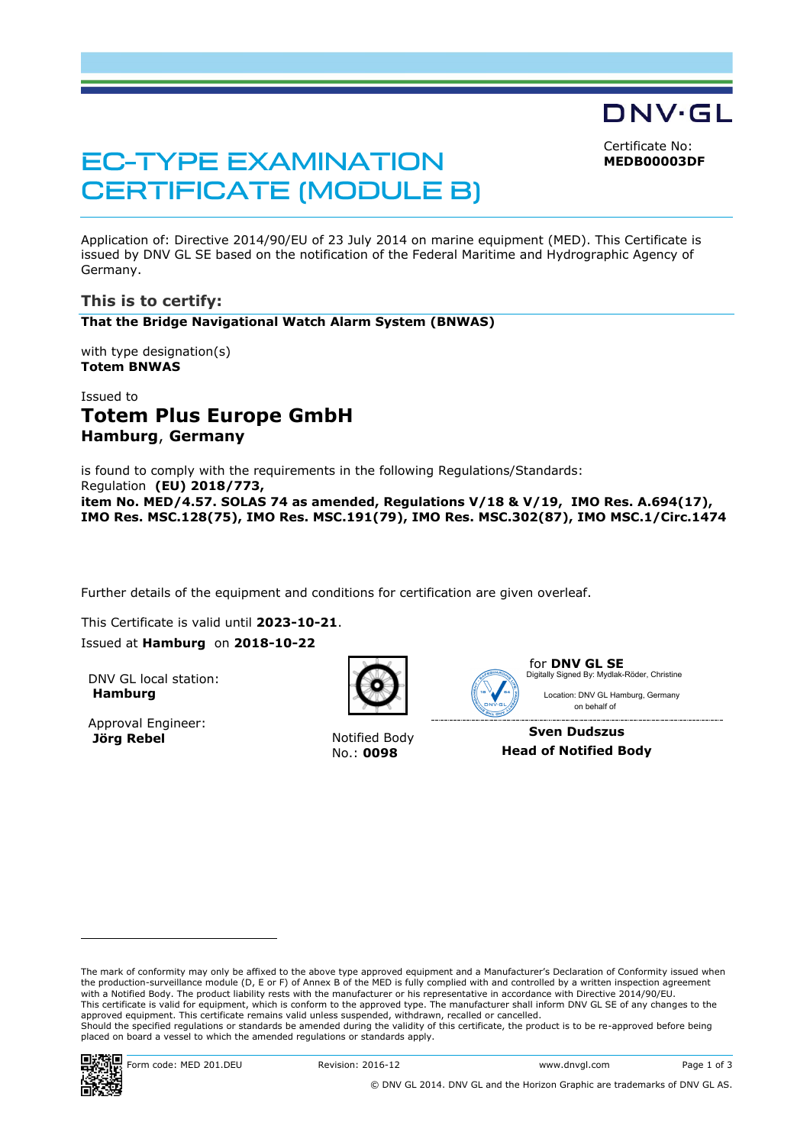Certificate No: **MEDB00003DF**

DNV·GL

# **EC-TYPE EXAMINATION CERTIFICATE (MODULE B)**

Application of: Directive 2014/90/EU of 23 July 2014 on marine equipment (MED). This Certificate is issued by DNV GL SE based on the notification of the Federal Maritime and Hydrographic Agency of Germany.

## **This is to certify:**

#### **That the Bridge Navigational Watch Alarm System (BNWAS)**

with type designation(s) **Totem BNWAS**

## Issued to **Totem Plus Europe GmbH Hamburg**, **Germany**

is found to comply with the requirements in the following Regulations/Standards: Regulation **(EU) 2018/773, item No. MED/4.57. SOLAS 74 as amended, Regulations V/18 & V/19, IMO Res. A.694(17), IMO Res. MSC.128(75), IMO Res. MSC.191(79), IMO Res. MSC.302(87), IMO MSC.1/Circ.1474**

Further details of the equipment and conditions for certification are given overleaf.

This Certificate is valid until **2023-10-21**.

Issued at **Hamburg** on **2018-10-22**

DNV GL local station: **Hamburg**

Approval Engineer:<br>**Jörg Rebel** 



**Notified Body** No.: **0098**



for **DNV GL SE** Location: DNV GL Hamburg, Germany Digitally Signed By: Mydlak-Röder, Christine

**Sven Dudszus Head of Notified Body**

on behalf of

The mark of conformity may only be affixed to the above type approved equipment and a Manufacturer's Declaration of Conformity issued when the production-surveillance module (D, E or F) of Annex B of the MED is fully complied with and controlled by a written inspection agreement with a Notified Body. The product liability rests with the manufacturer or his representative in accordance with Directive 2014/90/EU. This certificate is valid for equipment, which is conform to the approved type. The manufacturer shall inform DNV GL SE of any changes to the approved equipment. This certificate remains valid unless suspended, withdrawn, recalled or cancelled. Should the specified regulations or standards be amended during the validity of this certificate, the product is to be re-approved before being placed on board a vessel to which the amended regulations or standards apply.



1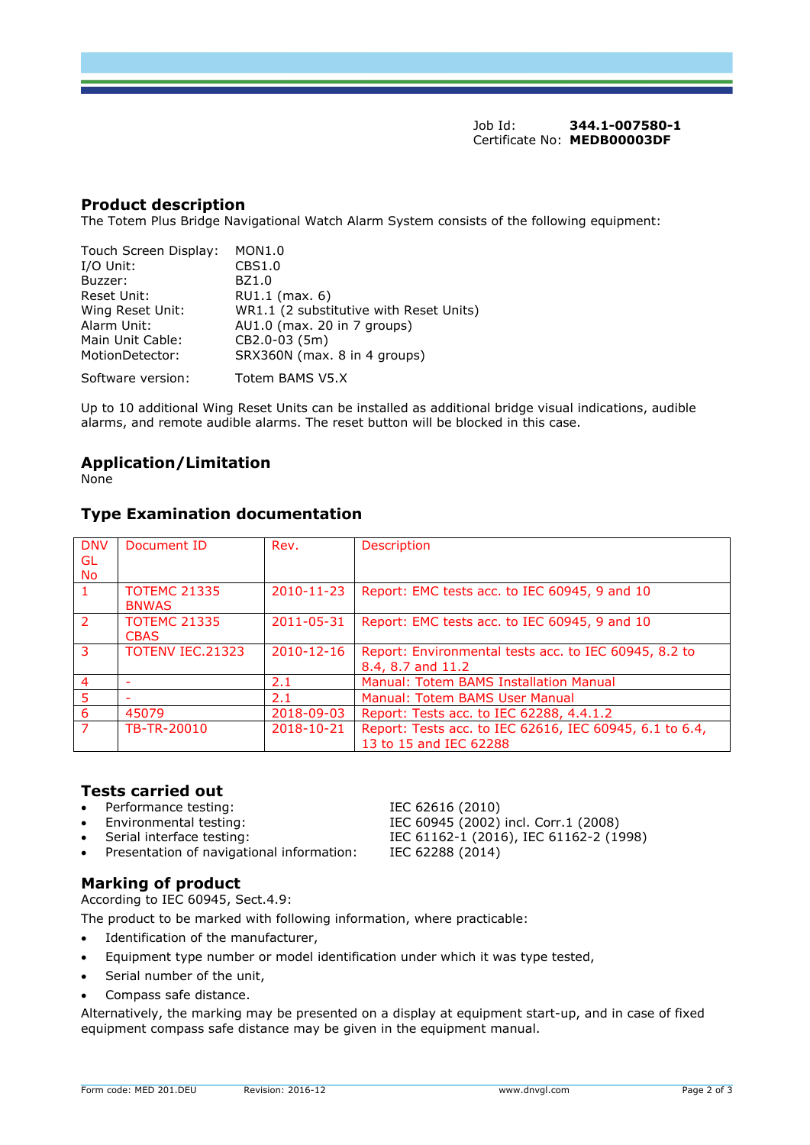Job Id: **344.1-007580-1** Certificate No: **MEDB00003DF**

### **Product description**

The Totem Plus Bridge Navigational Watch Alarm System consists of the following equipment:

| Touch Screen Display:<br>I/O Unit: | MON1.0<br>CBS1.0                        |
|------------------------------------|-----------------------------------------|
| Buzzer:                            | BZ1.0                                   |
| Reset Unit:                        | $RU1.1$ (max. 6)                        |
| Wing Reset Unit:                   | WR1.1 (2 substitutive with Reset Units) |
| Alarm Unit:                        | AU1.0 (max. 20 in 7 groups)             |
| Main Unit Cable:                   | CB2.0-03 (5m)                           |
| MotionDetector:                    | SRX360N (max. 8 in 4 groups)            |
| Software version:                  | Totem BAMS V5.X                         |

Up to 10 additional Wing Reset Units can be installed as additional bridge visual indications, audible alarms, and remote audible alarms. The reset button will be blocked in this case.

## **Application/Limitation**

None

## **Type Examination documentation**

| <b>DNV</b>     | Document ID             | Rev.             | <b>Description</b>                                      |
|----------------|-------------------------|------------------|---------------------------------------------------------|
| GL             |                         |                  |                                                         |
| No             |                         |                  |                                                         |
|                | <b>TOTEMC 21335</b>     | 2010-11-23       | Report: EMC tests acc. to IEC 60945, 9 and 10           |
|                | <b>BNWAS</b>            |                  |                                                         |
| $\mathcal{P}$  | <b>TOTEMC 21335</b>     | 2011-05-31       | Report: EMC tests acc. to IEC 60945, 9 and 10           |
|                | <b>CBAS</b>             |                  |                                                         |
| 3              | <b>TOTENV IEC.21323</b> | $2010 - 12 - 16$ | Report: Environmental tests acc. to IEC 60945, 8.2 to   |
|                |                         |                  | 8.4, 8.7 and 11.2                                       |
| $\overline{4}$ |                         | 2.1              | Manual: Totem BAMS Installation Manual                  |
| 5              |                         | 2.1              | Manual: Totem BAMS User Manual                          |
| 6              | 45079                   | 2018-09-03       | Report: Tests acc. to IEC 62288, 4.4.1.2                |
| $\overline{7}$ | TB-TR-20010             | 2018-10-21       | Report: Tests acc. to IEC 62616, IEC 60945, 6.1 to 6.4, |
|                |                         |                  | 13 to 15 and IEC 62288                                  |

#### **Tests carried out**

- Performance testing: IEC 62616 (2010)
- 
- 
- Presentation of navigational information: IEC 62288 (2014)

# **Marking of product**

According to IEC 60945, Sect.4.9:

The product to be marked with following information, where practicable:

- Identification of the manufacturer,
- Equipment type number or model identification under which it was type tested,
- Serial number of the unit,
- Compass safe distance.

Alternatively, the marking may be presented on a display at equipment start-up, and in case of fixed equipment compass safe distance may be given in the equipment manual.

• Environmental testing: IEC 60945 (2002) incl. Corr.1 (2008) • Serial interface testing: IEC 61162-1 (2016), IEC 61162-2 (1998)